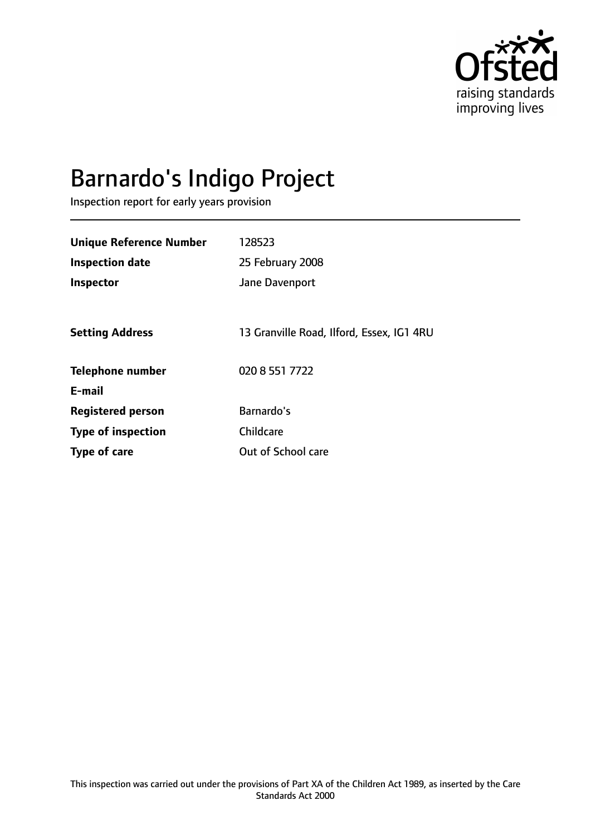

# Barnardo's Indigo Project

Inspection report for early years provision

| <b>Unique Reference Number</b> | 128523                                    |
|--------------------------------|-------------------------------------------|
| <b>Inspection date</b>         | 25 February 2008                          |
| Inspector                      | Jane Davenport                            |
|                                |                                           |
| <b>Setting Address</b>         | 13 Granville Road, Ilford, Essex, IG1 4RU |
| <b>Telephone number</b>        | 020 8 551 7722                            |
| E-mail                         |                                           |
| <b>Registered person</b>       | Barnardo's                                |
| <b>Type of inspection</b>      | Childcare                                 |
| Type of care                   | Out of School care                        |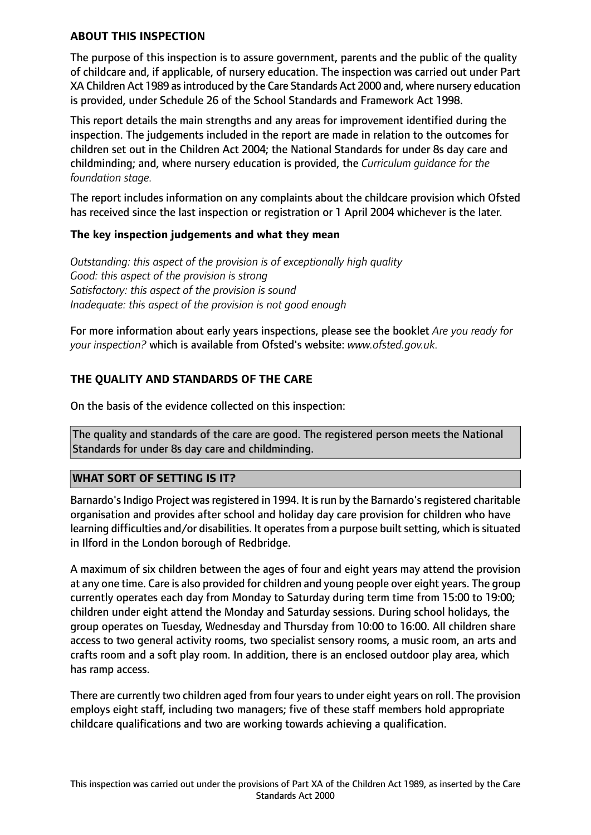#### **ABOUT THIS INSPECTION**

The purpose of this inspection is to assure government, parents and the public of the quality of childcare and, if applicable, of nursery education. The inspection was carried out under Part XA Children Act 1989 as introduced by the Care Standards Act 2000 and, where nursery education is provided, under Schedule 26 of the School Standards and Framework Act 1998.

This report details the main strengths and any areas for improvement identified during the inspection. The judgements included in the report are made in relation to the outcomes for children set out in the Children Act 2004; the National Standards for under 8s day care and childminding; and, where nursery education is provided, the *Curriculum guidance for the foundation stage.*

The report includes information on any complaints about the childcare provision which Ofsted has received since the last inspection or registration or 1 April 2004 whichever is the later.

#### **The key inspection judgements and what they mean**

*Outstanding: this aspect of the provision is of exceptionally high quality Good: this aspect of the provision is strong Satisfactory: this aspect of the provision is sound Inadequate: this aspect of the provision is not good enough*

For more information about early years inspections, please see the booklet *Are you ready for your inspection?* which is available from Ofsted's website: *www.ofsted.gov.uk.*

## **THE QUALITY AND STANDARDS OF THE CARE**

On the basis of the evidence collected on this inspection:

The quality and standards of the care are good. The registered person meets the National Standards for under 8s day care and childminding.

#### **WHAT SORT OF SETTING IS IT?**

Barnardo's Indigo Project was registered in 1994. It is run by the Barnardo's registered charitable organisation and provides after school and holiday day care provision for children who have learning difficulties and/or disabilities. It operates from a purpose built setting, which is situated in Ilford in the London borough of Redbridge.

A maximum of six children between the ages of four and eight years may attend the provision at any one time. Care is also provided for children and young people over eight years. The group currently operates each day from Monday to Saturday during term time from 15:00 to 19:00; children under eight attend the Monday and Saturday sessions. During school holidays, the group operates on Tuesday, Wednesday and Thursday from 10:00 to 16:00. All children share access to two general activity rooms, two specialist sensory rooms, a music room, an arts and crafts room and a soft play room. In addition, there is an enclosed outdoor play area, which has ramp access.

There are currently two children aged from four years to under eight years on roll. The provision employs eight staff, including two managers; five of these staff members hold appropriate childcare qualifications and two are working towards achieving a qualification.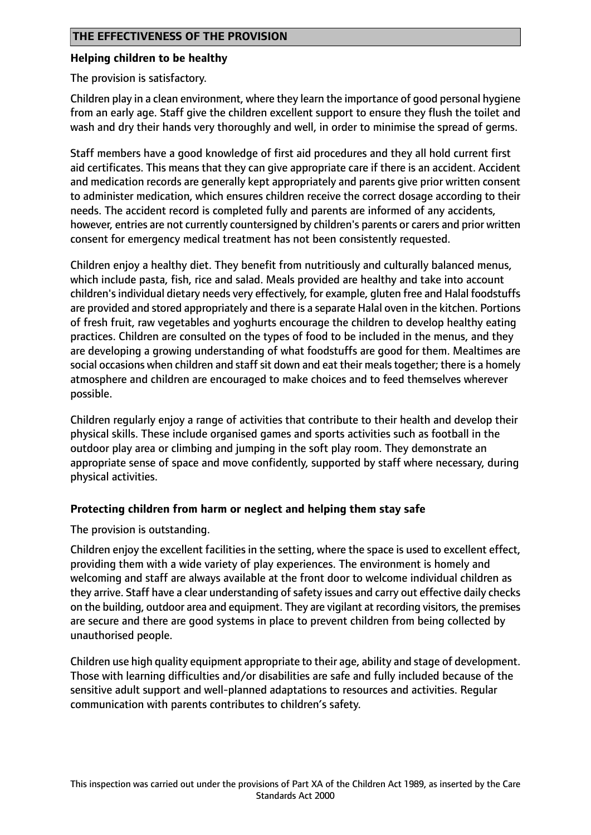#### **Helping children to be healthy**

The provision is satisfactory.

Children play in a clean environment, where they learn the importance of good personal hygiene from an early age. Staff give the children excellent support to ensure they flush the toilet and wash and dry their hands very thoroughly and well, in order to minimise the spread of germs.

Staff members have a good knowledge of first aid procedures and they all hold current first aid certificates. This means that they can give appropriate care if there is an accident. Accident and medication records are generally kept appropriately and parents give prior written consent to administer medication, which ensures children receive the correct dosage according to their needs. The accident record is completed fully and parents are informed of any accidents, however, entries are not currently countersigned by children's parents or carers and prior written consent for emergency medical treatment has not been consistently requested.

Children enjoy a healthy diet. They benefit from nutritiously and culturally balanced menus, which include pasta, fish, rice and salad. Meals provided are healthy and take into account children's individual dietary needs very effectively, for example, gluten free and Halal foodstuffs are provided and stored appropriately and there is a separate Halal oven in the kitchen. Portions of fresh fruit, raw vegetables and yoghurts encourage the children to develop healthy eating practices. Children are consulted on the types of food to be included in the menus, and they are developing a growing understanding of what foodstuffs are good for them. Mealtimes are social occasions when children and staff sit down and eat their meals together; there is a homely atmosphere and children are encouraged to make choices and to feed themselves wherever possible.

Children regularly enjoy a range of activities that contribute to their health and develop their physical skills. These include organised games and sports activities such as football in the outdoor play area or climbing and jumping in the soft play room. They demonstrate an appropriate sense of space and move confidently, supported by staff where necessary, during physical activities.

## **Protecting children from harm or neglect and helping them stay safe**

The provision is outstanding.

Children enjoy the excellent facilities in the setting, where the space is used to excellent effect, providing them with a wide variety of play experiences. The environment is homely and welcoming and staff are always available at the front door to welcome individual children as they arrive. Staff have a clear understanding of safety issues and carry out effective daily checks on the building, outdoor area and equipment. They are vigilant at recording visitors, the premises are secure and there are good systems in place to prevent children from being collected by unauthorised people.

Children use high quality equipment appropriate to their age, ability and stage of development. Those with learning difficulties and/or disabilities are safe and fully included because of the sensitive adult support and well-planned adaptations to resources and activities. Regular communication with parents contributes to children's safety.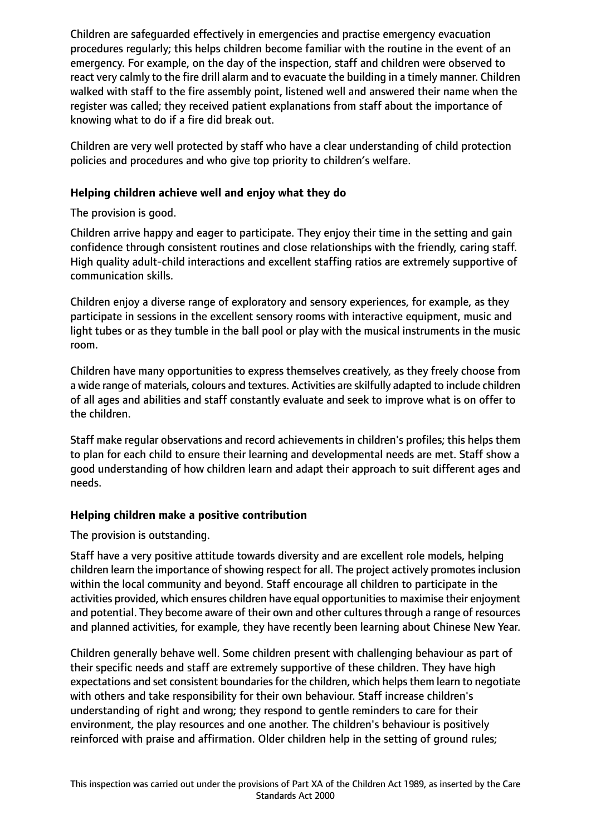Children are safeguarded effectively in emergencies and practise emergency evacuation procedures regularly; this helps children become familiar with the routine in the event of an emergency. For example, on the day of the inspection, staff and children were observed to react very calmly to the fire drill alarm and to evacuate the building in a timely manner. Children walked with staff to the fire assembly point, listened well and answered their name when the register was called; they received patient explanations from staff about the importance of knowing what to do if a fire did break out.

Children are very well protected by staff who have a clear understanding of child protection policies and procedures and who give top priority to children's welfare.

#### **Helping children achieve well and enjoy what they do**

The provision is good.

Children arrive happy and eager to participate. They enjoy their time in the setting and gain confidence through consistent routines and close relationships with the friendly, caring staff. High quality adult-child interactions and excellent staffing ratios are extremely supportive of communication skills.

Children enjoy a diverse range of exploratory and sensory experiences, for example, as they participate in sessions in the excellent sensory rooms with interactive equipment, music and light tubes or as they tumble in the ball pool or play with the musical instruments in the music room.

Children have many opportunities to express themselves creatively, as they freely choose from a wide range of materials, colours and textures. Activities are skilfully adapted to include children of all ages and abilities and staff constantly evaluate and seek to improve what is on offer to the children.

Staff make regular observations and record achievements in children's profiles; this helps them to plan for each child to ensure their learning and developmental needs are met. Staff show a good understanding of how children learn and adapt their approach to suit different ages and needs.

#### **Helping children make a positive contribution**

The provision is outstanding.

Staff have a very positive attitude towards diversity and are excellent role models, helping children learn the importance of showing respect for all. The project actively promotes inclusion within the local community and beyond. Staff encourage all children to participate in the activities provided, which ensures children have equal opportunities to maximise their enjoyment and potential. They become aware of their own and other cultures through a range of resources and planned activities, for example, they have recently been learning about Chinese New Year.

Children generally behave well. Some children present with challenging behaviour as part of their specific needs and staff are extremely supportive of these children. They have high expectations and set consistent boundaries for the children, which helps them learn to negotiate with others and take responsibility for their own behaviour. Staff increase children's understanding of right and wrong; they respond to gentle reminders to care for their environment, the play resources and one another. The children's behaviour is positively reinforced with praise and affirmation. Older children help in the setting of ground rules;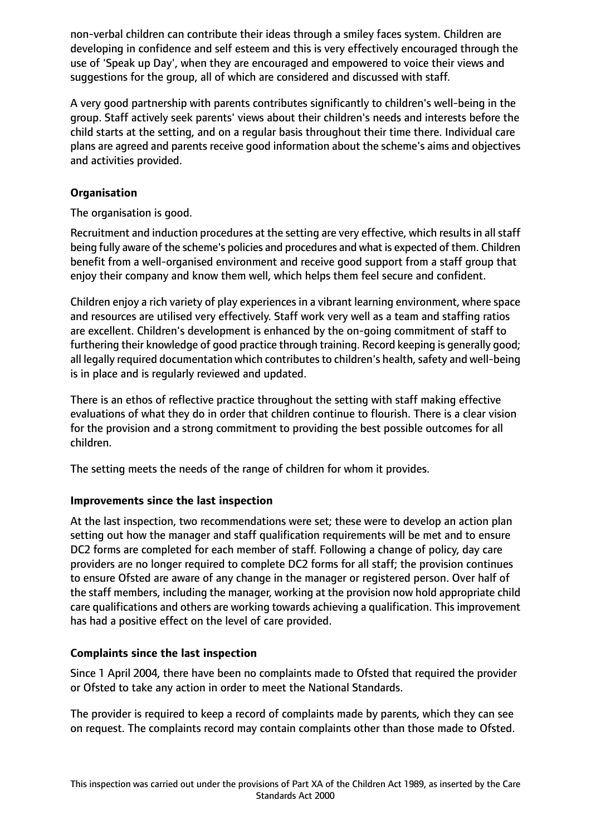non-verbal children can contribute their ideas through a smiley faces system. Children are developing in confidence and self esteem and this is very effectively encouraged through the use of 'Speak up Day', when they are encouraged and empowered to voice their views and suggestions for the group, all of which are considered and discussed with staff.

A very good partnership with parents contributes significantly to children's well-being in the group. Staff actively seek parents' views about their children's needs and interests before the child starts at the setting, and on a regular basis throughout their time there. Individual care plans are agreed and parents receive good information about the scheme's aims and objectives and activities provided.

## **Organisation**

The organisation is good.

Recruitment and induction procedures at the setting are very effective, which results in all staff being fully aware of the scheme's policies and procedures and what is expected of them. Children benefit from a well-organised environment and receive good support from a staff group that enjoy their company and know them well, which helps them feel secure and confident.

Children enjoy a rich variety of play experiences in a vibrant learning environment, where space and resources are utilised very effectively. Staff work very well as a team and staffing ratios are excellent. Children's development is enhanced by the on-going commitment of staff to furthering their knowledge of good practice through training. Record keeping is generally good; all legally required documentation which contributes to children's health, safety and well-being is in place and is regularly reviewed and updated.

There is an ethos of reflective practice throughout the setting with staff making effective evaluations of what they do in order that children continue to flourish. There is a clear vision for the provision and a strong commitment to providing the best possible outcomes for all children.

The setting meets the needs of the range of children for whom it provides.

# **Improvements since the last inspection**

At the last inspection, two recommendations were set; these were to develop an action plan setting out how the manager and staff qualification requirements will be met and to ensure DC2 forms are completed for each member of staff. Following a change of policy, day care providers are no longer required to complete DC2 forms for all staff; the provision continues to ensure Ofsted are aware of any change in the manager or registered person. Over half of the staff members, including the manager, working at the provision now hold appropriate child care qualifications and others are working towards achieving a qualification. This improvement has had a positive effect on the level of care provided.

# **Complaints since the last inspection**

Since 1 April 2004, there have been no complaints made to Ofsted that required the provider or Ofsted to take any action in order to meet the National Standards.

The provider is required to keep a record of complaints made by parents, which they can see on request. The complaints record may contain complaints other than those made to Ofsted.